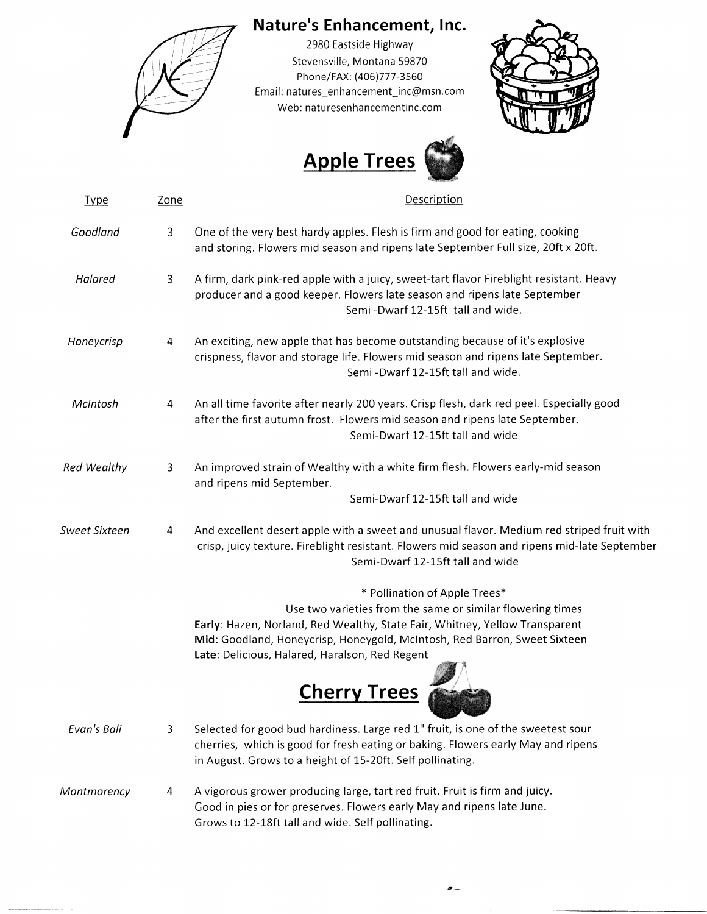

## Nature's Enhancement, Inc.

2980 Eastside Highway Stevensville, Montana 59870 Phone/rax: (406)777 -3550 Email: natures\_enhancement\_inc@msn.com Web: naturesenhancementinc.com





| <b>Type</b>        | <b>Zone</b>    | Description                                                                                                                                                                                                                   |
|--------------------|----------------|-------------------------------------------------------------------------------------------------------------------------------------------------------------------------------------------------------------------------------|
| Goodland           | $\overline{3}$ | One of the very best hardy apples. Flesh is firm and good for eating, cooking<br>and storing. Flowers mid season and ripens late September Full size, 20ft x 20ft.                                                            |
| Halared            | 3              | A firm, dark pink-red apple with a juicy, sweet-tart flavor Fireblight resistant. Heavy<br>producer and a good keeper. Flowers late season and ripens late September<br>Semi-Dwarf 12-15ft tall and wide.                     |
| Honeycrisp         | 4              | An exciting, new apple that has become outstanding because of it's explosive<br>crispness, flavor and storage life. Flowers mid season and ripens late September.<br>Semi-Dwarf 12-15ft tall and wide.                        |
| McIntosh           | 4              | An all time favorite after nearly 200 years. Crisp flesh, dark red peel. Especially good<br>after the first autumn frost. Flowers mid season and ripens late September.<br>Semi-Dwarf 12-15ft tall and wide                   |
| <b>Red Wealthy</b> | 3              | An improved strain of Wealthy with a white firm flesh. Flowers early-mid season<br>and ripens mid September.                                                                                                                  |
|                    |                | Semi-Dwarf 12-15ft tall and wide                                                                                                                                                                                              |
| Sweet Sixteen      | 4              | And excellent desert apple with a sweet and unusual flavor. Medium red striped fruit with<br>crisp, juicy texture. Fireblight resistant. Flowers mid season and ripens mid-late September<br>Semi-Dwarf 12-15ft tall and wide |
|                    |                | * Pollination of Apple Trees*                                                                                                                                                                                                 |
|                    |                | Use two varieties from the same or similar flowering times                                                                                                                                                                    |
|                    |                | Early: Hazen, Norland, Red Wealthy, State Fair, Whitney, Yellow Transparent                                                                                                                                                   |
|                    |                | Mid: Goodland, Honeycrisp, Honeygold, McIntosh, Red Barron, Sweet Sixteen                                                                                                                                                     |
|                    |                | Late: Delicious, Halared, Haralson, Red Regent                                                                                                                                                                                |
|                    |                | <b>Cherry Trees</b>                                                                                                                                                                                                           |
| Evan's Bali        | 3              | Selected for good bud hardiness. Large red 1" fruit, is one of the sweetest sour                                                                                                                                              |
|                    |                | cherries, which is good for fresh eating or baking. Flowers early May and ripens                                                                                                                                              |
|                    |                | in August. Grows to a height of 15-20ft. Self pollinating.                                                                                                                                                                    |
| Montmorency        | 4              | A vigorous grower producing large, tart red fruit. Fruit is firm and juicy.                                                                                                                                                   |
|                    |                | Good in pies or for preserves. Flowers early May and ripens late June.                                                                                                                                                        |
|                    |                | Grows to 12-18ft tall and wide. Self pollinating.                                                                                                                                                                             |